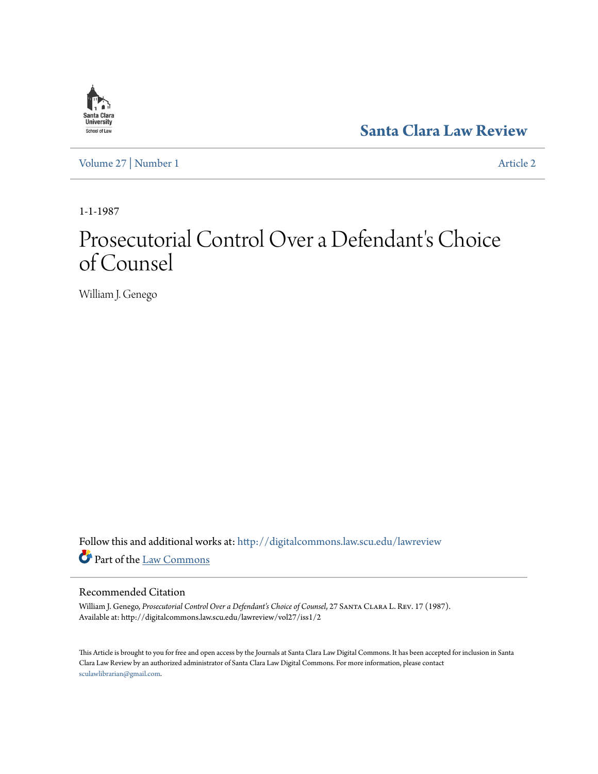

**[Santa Clara Law Review](http://digitalcommons.law.scu.edu/lawreview?utm_source=digitalcommons.law.scu.edu%2Flawreview%2Fvol27%2Fiss1%2F2&utm_medium=PDF&utm_campaign=PDFCoverPages)**

[Volume 27](http://digitalcommons.law.scu.edu/lawreview/vol27?utm_source=digitalcommons.law.scu.edu%2Flawreview%2Fvol27%2Fiss1%2F2&utm_medium=PDF&utm_campaign=PDFCoverPages) | [Number 1](http://digitalcommons.law.scu.edu/lawreview/vol27/iss1?utm_source=digitalcommons.law.scu.edu%2Flawreview%2Fvol27%2Fiss1%2F2&utm_medium=PDF&utm_campaign=PDFCoverPages) [Article 2](http://digitalcommons.law.scu.edu/lawreview/vol27/iss1/2?utm_source=digitalcommons.law.scu.edu%2Flawreview%2Fvol27%2Fiss1%2F2&utm_medium=PDF&utm_campaign=PDFCoverPages)

1-1-1987

# Prosecutorial Control Over a Defendant's Choice of Counsel

William J. Genego

Follow this and additional works at: [http://digitalcommons.law.scu.edu/lawreview](http://digitalcommons.law.scu.edu/lawreview?utm_source=digitalcommons.law.scu.edu%2Flawreview%2Fvol27%2Fiss1%2F2&utm_medium=PDF&utm_campaign=PDFCoverPages) Part of the [Law Commons](http://network.bepress.com/hgg/discipline/578?utm_source=digitalcommons.law.scu.edu%2Flawreview%2Fvol27%2Fiss1%2F2&utm_medium=PDF&utm_campaign=PDFCoverPages)

## Recommended Citation

William J. Genego, *Prosecutorial Control Over a Defendant's Choice of Counsel*, 27 Santa Clara L. Rev. 17 (1987). Available at: http://digitalcommons.law.scu.edu/lawreview/vol27/iss1/2

This Article is brought to you for free and open access by the Journals at Santa Clara Law Digital Commons. It has been accepted for inclusion in Santa Clara Law Review by an authorized administrator of Santa Clara Law Digital Commons. For more information, please contact [sculawlibrarian@gmail.com](mailto:sculawlibrarian@gmail.com).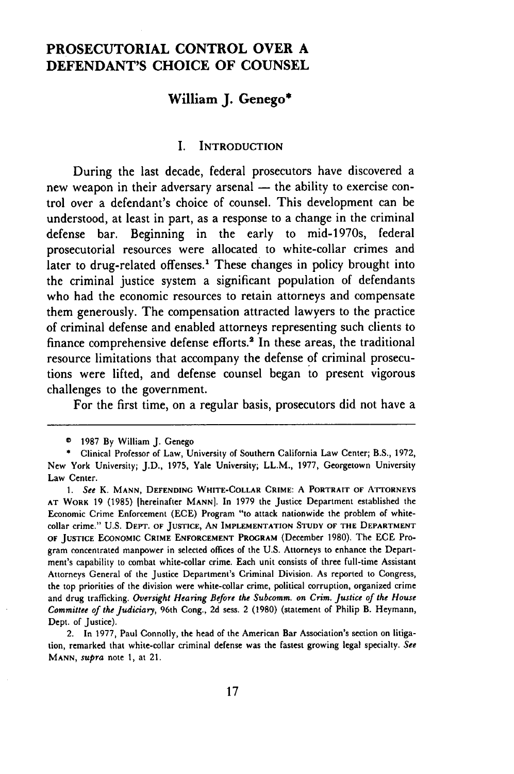## **PROSECUTORIAL CONTROL OVER A DEFENDANT'S CHOICE OF COUNSEL**

## **William J. Genego\***

#### I. **INTRODUCTION**

During the last decade, federal prosecutors have discovered a new weapon in their adversary arsenal - the ability to exercise control over a defendant's choice of counsel. This development can be understood, at least in part, as a response to a change in the criminal defense bar. Beginning in the early to mid-1970s, federal prosecutorial resources were allocated to white-collar crimes and later to drug-related offenses.<sup>1</sup> These changes in policy brought into the criminal justice system a significant population of defendants who had the economic resources to retain attorneys and compensate them generously. The compensation attracted lawyers to the practice of criminal defense and enabled attorneys representing such clients to finance comprehensive defense efforts.<sup>2</sup> In these areas, the traditional resource limitations that accompany the defense of criminal prosecutions were lifted, and defense counsel began to present vigorous challenges to the government.

For the first time, on a regular basis, prosecutors did not have a

<sup>©</sup> 1987 By William J. Genego

**<sup>\*</sup>** Clinical Professor of Law, University of Southern California Law Center; B.S., **1972,** New York University; J.D., **1975,** Yale University; LL.M., **1977,** Georgetown University Law Center.

**<sup>1.</sup>** *See* **K. MANN, DEFENDING WHITE-COLLAR CRIME:** A PORTRAIT **OF ATTORNEYS AT WORK** 19 (1985) [hereinafter **MANN].** In 1979 the Justice Department established the Economic Crime Enforcement (ECE) Program "to attack nationwide the problem of whitecollar crime." **U.S. DEPT.** OF **JUSTICE, AN IMPLEMENTATION STUDY OF THE DEPARTMENT OF JUSTICE ECONOMIC CRIME ENFORCEMENT PROGRAM** (December 1980). The ECE Program concentrated manpower in selected offices of the U.S. Attorneys to enhance the Department's capability to combat white-collar crime. Each unit consists of three full-time Assistant Attorneys General of the Justice Department's Criminal Division. As reported to Congress, the top priorities of the division were white-collar crime, political corruption, organized crime and drug trafficking. *Oversight Hearing Before the Subcomm. on Crim. Justice of the House Committee of the Judiciary,* 96th Cong., 2d sess. 2 (1980) (statement of Philip B. Heymann, Dept. of Justice).

<sup>2.</sup> In 1977, Paul Connolly, the head of the American Bar Association's section on litigation, remarked that white-collar criminal defense was the fastest growing legal specialty. See **MANN,** *supra* note 1, at 21.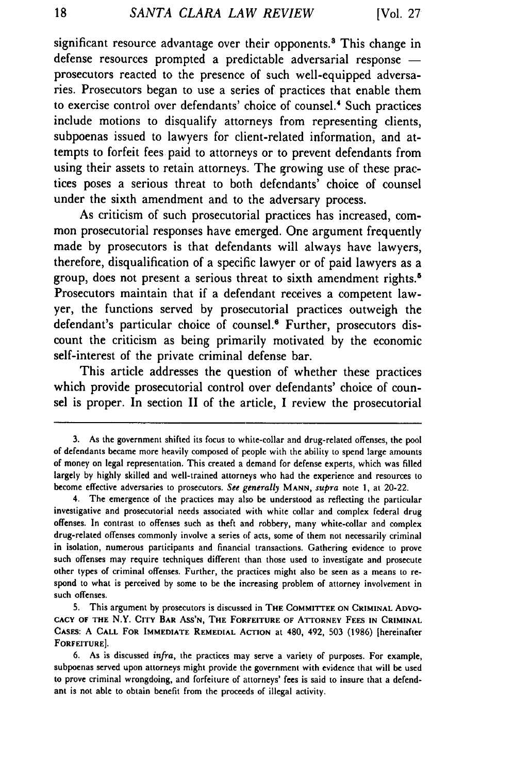significant resource advantage over their opponents.<sup>8</sup> This change in defense resources prompted a predictable adversarial response prosecutors reacted to the presence of such well-equipped adversaries. Prosecutors began to use a series of practices that enable them to exercise control over defendants' choice of counsel.' Such practices include motions to disqualify attorneys from representing clients, subpoenas issued to lawyers for client-related information, and attempts to forfeit fees paid to attorneys or to prevent defendants from using their assets to retain attorneys. The growing use of these practices poses a serious threat to both defendants' choice of counsel under the sixth amendment and to the adversary process.

As criticism of such prosecutorial practices has increased, common prosecutorial responses have emerged. One argument frequently made by prosecutors is that defendants will always have lawyers, therefore, disqualification of a specific lawyer or of paid lawyers as a group, does not present a serious threat to sixth amendment rights.<sup>5</sup> Prosecutors maintain that if a defendant receives a competent lawyer, the functions served by prosecutorial practices outweigh the defendant's particular choice of counsel.<sup>6</sup> Further, prosecutors discount the criticism as being primarily motivated by the economic self-interest of the private criminal defense bar.

This article addresses the question of whether these practices which provide prosecutorial control over defendants' choice of counsel is proper. In section II of the article, I review the prosecutorial

<sup>3.</sup> As the government shifted its focus to white-collar and drug-related offenses, the pool of defendants became more heavily composed of people with the ability to spend large amounts of money on legal representation. This created a demand for defense experts, which was filled largely by highly skilled and well-trained attorneys who had the experience and resources to become effective adversaries to prosecutors. *See generally* **MANN,** *supra* note **1,** at 20-22.

<sup>4.</sup> The emergence of the practices may also be understood as reflecting the particular investigative and prosecutorial needs associated with white collar and complex federal drug offenses. In contrast to offenses such as theft and robbery, many white-collar and complex drug-related offenses commonly involve a series of acts, some of them not necessarily criminal in isolation, numerous participants and financial transactions. Gathering evidence to prove such offenses may require techniques different than those used to investigate and prosecute other types of criminal offenses. Further, the practices might also be seen as a means to respond to what is perceived by some to be the increasing problem of attorney involvement in such offenses.

<sup>5.</sup> This argument by prosecutors is discussed in THE COMMITTEE **ON** CRIMINAL **ADVO-CACY** OF **THE** N.Y. **CITY BAR ASS'N, THE FORFEITURE OF ATTORNEY FEES IN CRIMINAL CASES: A CALL** FOR **IMMEDIATE REMEDIAL ACTION** at 480, 492, **503 (1986)** [hereinafter **FORFEITURE].**

<sup>6.</sup> As is discussed *infra,* the practices may serve a variety of purposes. For example, subpoenas served upon attorneys might provide the government with evidence that will be used to prove criminal wrongdoing, and forfeiture of attorneys' fees is said to insure that a defendant is not able to obtain benefit from the proceeds of illegal activity.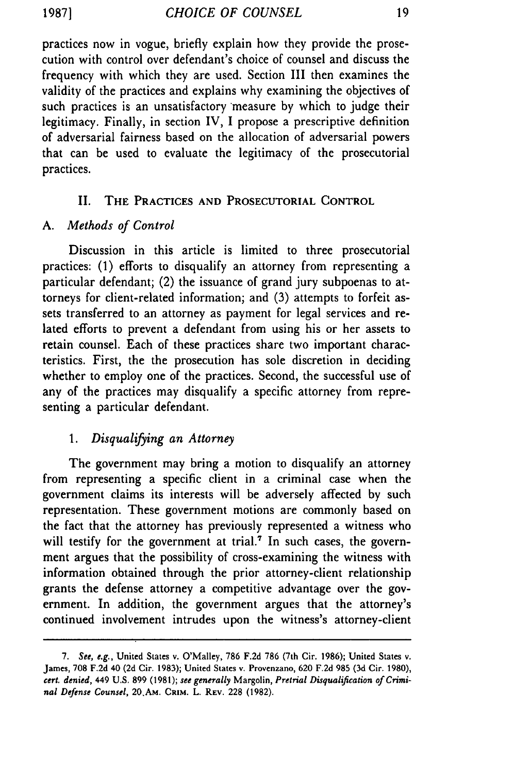practices now in vogue, briefly explain how they provide the prosecution with control over defendant's choice of counsel and discuss the frequency with which they are used. Section III then examines the validity of the practices and explains why examining the objectives of such practices is an unsatisfactory 'measure by which to judge their legitimacy. Finally, in section IV, I propose a prescriptive definition of adversarial fairness based on the allocation of adversarial powers that can be used to evaluate the legitimacy of the prosecutorial practices.

### II. **THE** PRACTICES **AND** PROSECUTORIAL CONTROL

#### *A. Methods of Control*

Discussion in this article is limited to three prosecutorial practices: (1) efforts to disqualify an attorney from representing a particular defendant; (2) the issuance of grand jury subpoenas to attorneys for client-related information; and (3) attempts to forfeit assets transferred to an attorney as payment for legal services and related efforts to prevent a defendant from using his or her assets to retain counsel. Each of these practices share two important characteristics. First, the the prosecution has sole discretion in deciding whether to employ one of the practices. Second, the successful use of any of the practices may disqualify a specific attorney from representing a particular defendant.

## *1. Disqualifying an Attorney*

The government may bring a motion to disqualify an attorney from representing a specific client in a criminal case when the government claims its interests will be adversely affected by such representation. These government motions are commonly based on the fact that the attorney has previously represented a witness who will testify for the government at trial.<sup>7</sup> In such cases, the government argues that the possibility of cross-examining the witness with information obtained through the prior attorney-client relationship grants the defense attorney a competitive advantage over the government. In addition, the government argues that the attorney's continued involvement intrudes upon the witness's attorney-client

*<sup>7.</sup> See, e.g.,* United States v. O'Malley, 786 F.2d 786 (7th Cir. 1986); United States v. James, 708 F.2d 40 **(2d** Cir. **1983);** United States v. Provenzano, **620 F.2d 985 (3d** Cir. 1980), *cert. denied,* 449 **U.S. 899 (1981);** *see generally* Margolin, *Pretrial Disqualification of Criminal Defense Counsel,* 20.AM. **CaiM.** L. REV. **228 (1982).**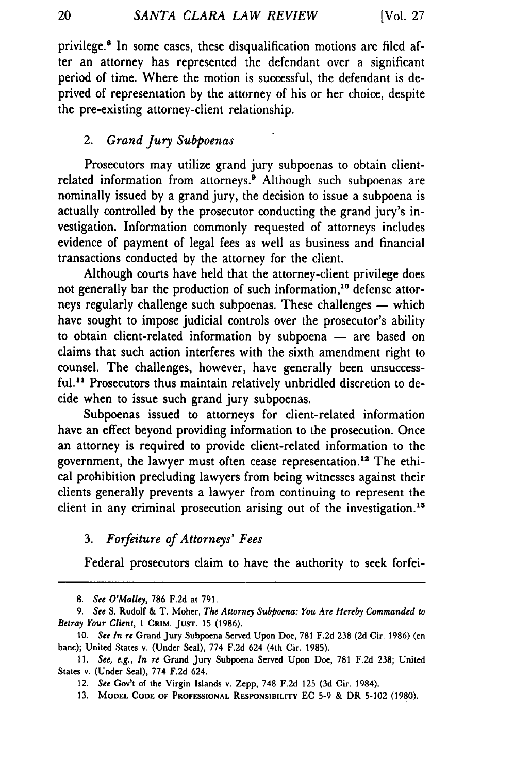privilege.8 In some cases, these disqualification motions are filed after an attorney has represented the defendant over a significant period of time. Where the motion is successful, the defendant is deprived of representation by the attorney of his or her choice, despite the pre-existing attorney-client relationship.

## 2. *Grand Jury Subpoenas*

Prosecutors may utilize grand jury subpoenas to obtain clientrelated information from attorneys.<sup>9</sup> Although such subpoenas are nominally issued by a grand jury, the decision to issue a subpoena is actually controlled by the prosecutor conducting the grand jury's investigation. Information commonly requested of attorneys includes evidence of payment of legal fees as well as business and financial transactions conducted by the attorney for the client.

Although courts have held that the attorney-client privilege does not generally bar the production of such information,<sup>10</sup> defense attorneys regularly challenge such subpoenas. These challenges — which have sought to impose judicial controls over the prosecutor's ability to obtain client-related information by subpoena  $-$  are based on claims that such action interferes with the sixth amendment right to counsel. The challenges, however, have generally been unsuccessful.<sup>11</sup> Prosecutors thus maintain relatively unbridled discretion to decide when to issue such grand jury subpoenas.

Subpoenas issued to attorneys for client-related information have an effect beyond providing information to the prosecution. Once an attorney is required to provide client-related information to the government, the lawyer must often cease representation.<sup>12</sup> The ethical prohibition precluding lawyers from being witnesses against their clients generally prevents a lawyer from continuing to represent the client in any criminal prosecution arising out of the investigation.<sup>13</sup>

## *3. Forfeiture of Attorneys' Fees*

Federal prosecutors claim to have the authority to seek forfei-

*<sup>8.</sup> See O'Malley,* 786 F.2d at 791.

*<sup>9.</sup> See* S. Rudolf & T. Moher, *The Attorney Subpoena: You Are Hereby Commanded to Betray Your Client,* **I** CRIM. **JUST.** 15 (1986).

<sup>10.</sup> *See In re* Grand Jury Subpoena Served Upon Doe, 781 F.2d 238 (2d Cir. 1986) (en bane); United States v. (Under Seal), 774 F.2d 624 (4th Cir. 1985).

<sup>11.</sup> *See, e.g., In re* Grand Jury Subpoena Served Upon Doe, 781 F.2d 238; United States v. (Under Seal), 774 F.2d 624.

<sup>12.</sup> *See* Gov't of the Virgin Islands v. Zepp, 748 F.2d 125 (3d Cir. 1984).

<sup>13.</sup> MODEL **CODE** OF **PROFESSIONAL** RESPONSIBILITY EC 5-9 & DR 5-102 (1980).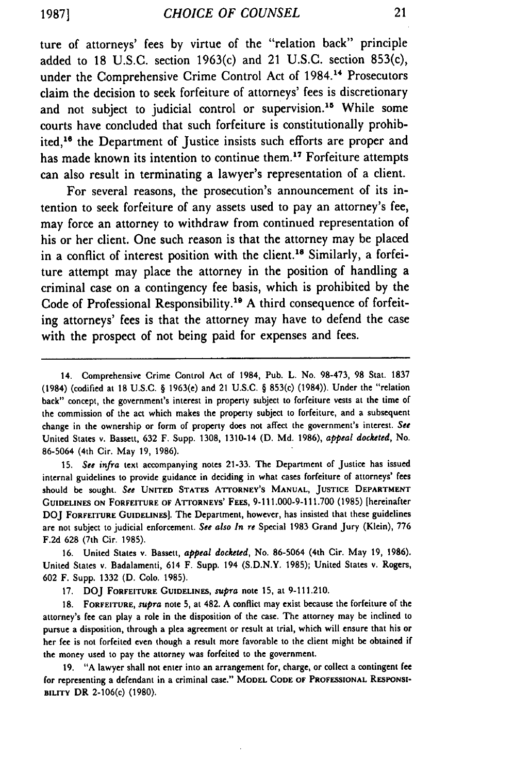ture of attorneys' fees **by** virtue of the "relation back" principle added to **18 U.S.C.** section 1963(c) and 21 **U.S.C.** section 853(c), under the Comprehensive Crime Control Act of 1984.14 Prosecutors claim the decision to seek forfeiture of attorneys' fees is discretionary and not subject to judicial control or supervision.<sup>15</sup> While some courts have concluded that such forfeiture is constitutionally prohibited,<sup>16</sup> the Department of Justice insists such efforts are proper and has made known its intention to continue them.<sup>17</sup> Forfeiture attempts can also result in terminating a lawyer's representation of a client.

For several reasons, the prosecution's announcement of its intention to seek forfeiture of any assets used to pay an attorney's fee, may force an attorney to withdraw from continued representation of his or her client. One such reason is that the attorney may be placed in a conflict of interest position with the client.<sup>18</sup> Similarly, a forfeiture attempt may place the attorney in the position of handling a criminal case on a contingency fee basis, which is prohibited **by** the Code of Professional Responsibility.<sup>19</sup> A third consequence of forfeiting attorneys' fees is that the attorney may have to defend the case with the prospect of not being paid for expenses and fees.

15. See *infra* text accompanying notes 21-33. The Department of Justice has issued internal guidelines to provide guidance in deciding in what cases forfeiture of attorneys' fees should be sought. See **UNITED STATES ATTORNEY'S MANUAL, JUSTICE DEPARTMENT GUIDELINES ON** FORFEITURE **OF** ATTORNEYS' **FEES,** 9-111.000-9-111.700 (1985) [hereinafter DOJ FORFEITURE **GUIDELINES).** The Department, however, has insisted that these guidelines are not subject to judicial enforcement. See also In re Special 1983 Grand Jury (Klein), 776 F.2d **628** (7th Cir. 1985).

16. United States v. Bassett, appeal docketed, No. 86-5064 (4th Cir. May 19, 1986). United States v. Badalamenti, 614 F. Supp. 194 (S.D.N.Y. 1985); United States v. Rogers, 602 F. Supp. 1332 (D. Colo. 1985).

17. **DOJ** FORFEITURE **GUIDELINES,** supra note 15, at 9-111.210.

**18.** FORFEITURE, supra note 5, at 482. A conflict may exist because the forfeiture of the attorney's fee can play a role in the disposition of the case. The attorney may be inclined to pursue a disposition, through a plea agreement or result at trial, which will ensure that his or her fee is not forfeited even though a result more favorable to the client might be obtained if the money used to pay the attorney was forfeited to the government.

19. "A lawyer shall not enter into an arrangement for, charge, or collect a contingent fee **for** representing a defendant in a criminal case." **MODEL CODE** OF **PROFESSIONAL RESPONSI-BILITY** DR 2-106(c) (1980).

<sup>14.</sup> Comprehensive Crime Control Act of 1984, Pub. L. No. 98-473, 98 Stat. 1837 (1984) (codified at **18** U.S.C. § 1963(e) and 21 U.S.C. § 853(c) (1984)). Under the "relation back" concept, the government's interest in property subject to forfeiture vests at the time of the commission of the act which makes the property subject to forfeiture, and a subsequent change in the ownership or form of property does not affect the government's interest. See United States v. Bassett, 632 F. Supp. 1308, 1310-14 (D. Md. 1986), appeal docketed, No. 86-5064 (4th Cir. May 19, 1986).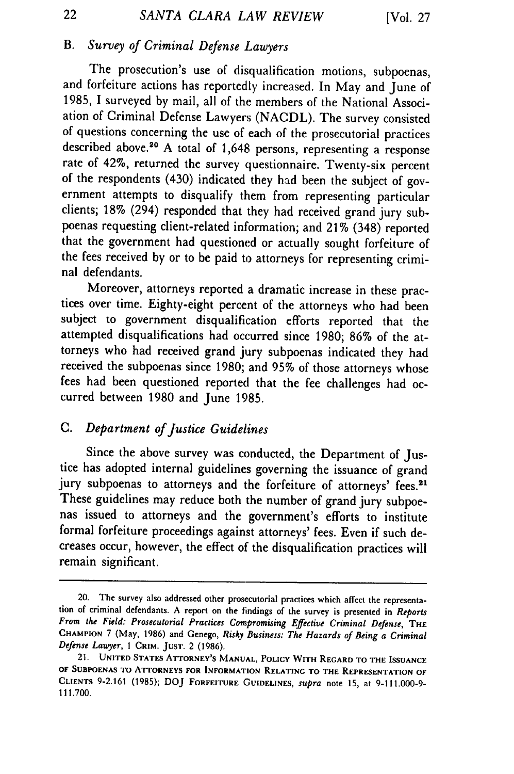## B. *Survey of Criminal Defense Lawyers*

The prosecution's use of disqualification motions, subpoenas, and forfeiture actions has reportedly increased. In May and June of 1985, I surveyed by mail, all of the members of the National Association of Criminal Defense Lawyers (NACDL). The survey consisted of questions concerning the use of each of the prosecutorial practices described above.<sup>20</sup> A total of 1,648 persons, representing a response rate of 42%, returned the survey questionnaire. Twenty-six percent of the respondents (430) indicated they had been the subject of government attempts to disqualify them from representing particular clients; 18% (294) responded that they had received grand jury subpoenas requesting client-related information; and 21% (348) reported that the government had questioned or actually sought forfeiture of the fees received by or to be paid to attorneys for representing criminal defendants.

Moreover, attorneys reported a dramatic increase in these practices over time. Eighty-eight percent of the attorneys who had been subject to government disqualification efforts reported that the attempted disqualifications had occurred since 1980; 86% of the attorneys who had received grand jury subpoenas indicated they had received the subpoenas since 1980; and 95% of those attorneys whose fees had been questioned reported that the fee challenges had occurred between 1980 and June 1985.

## C. *Department of Justice Guidelines*

Since the above survey was conducted, the Department of Justice has adopted internal guidelines governing the issuance of grand jury subpoenas to attorneys and the forfeiture of attorneys' fees.<sup>21</sup> These guidelines may reduce both the number of grand jury subpoenas issued to attorneys and the government's efforts to institute formal forfeiture proceedings against attorneys' fees. Even if such decreases occur, however, the effect of the disqualification practices will remain significant.

22

<sup>20.</sup> The survey also addressed other prosecutorial practices which affect the representa- tion of criminal defendants. A report on the findings of the survey is presented in *Reports* From the Field: Prosecutorial Practices Compromising Effective Criminal Defense, THE **CHAMPION** 7 (May, 1986) and Genego, *Risky Business: The Hazards of Being a Criminal Defense Lawyer, I* CRIM. **JUST.** 2 (1986).

<sup>21.</sup> **UNITED STATES ATTORNEY'S MANUAL, POLICY WITH REGARD TO THE ISSUANCE OF SUBPOENAS TO ATTORNEYS FOR INFORMATION RELATING TO THE REPRESENTATION OF CLIENTS 9-2.161 (1985); DOJ FORFEITURE GUIDELINES,** *supra* note **15, at 9-111.000-9-** 111.700.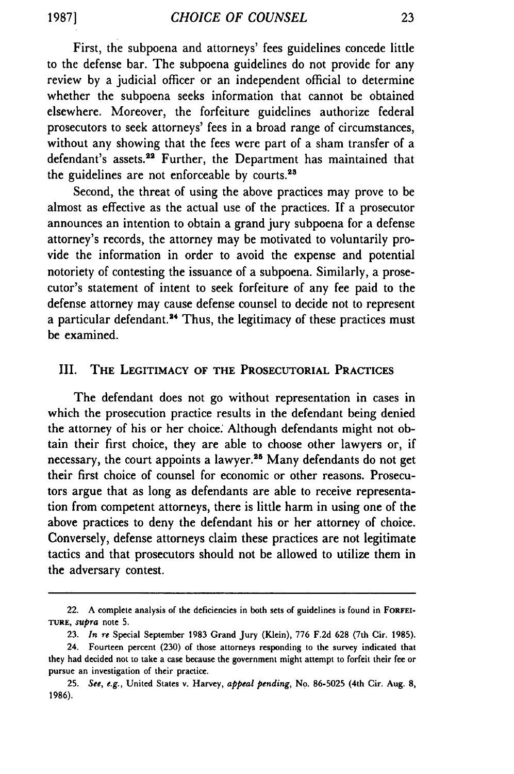First, the subpoena and attorneys' fees guidelines concede little to the defense bar. The subpoena guidelines do not provide for any review by a judicial officer or an independent official to determine whether the subpoena seeks information that cannot be obtained elsewhere. Moreover, the forfeiture guidelines authorize federal prosecutors to seek attorneys' fees in a broad range of circumstances, without any showing that the fees were part of a sham transfer of a defendant's assets.<sup>22</sup> Further, the Department has maintained that the guidelines are not enforceable by courts.<sup>24</sup>

Second, the threat of using the above practices may prove to be almost as effective as the actual use of the practices. If a prosecutor announces an intention to obtain a grand jury subpoena for a defense attorney's records, the attorney may be motivated to voluntarily provide the information in order to avoid the expense and potential notoriety of contesting the issuance of a subpoena. Similarly, a prosecutor's statement of intent to seek forfeiture of any fee paid to the defense attorney may cause defense counsel to decide not to represent a particular defendant.<sup>24</sup> Thus, the legitimacy of these practices must be examined.

#### **III. THE LEGITIMACY OF THE PROSECUTORIAL PRACTICES**

The defendant does not go without representation in cases in which the prosecution practice results in the defendant being denied the attorney of his or her choice: Although defendants might not obtain their first choice, they are able to choose other lawyers or, if necessary, the court appoints a lawyer.<sup>25</sup> Many defendants do not get their first choice of counsel for economic or other reasons. Prosecutors argue that as long as defendants are able to receive representation from competent attorneys, there is little harm in using one of the above practices to deny the defendant his or her attorney of choice. Conversely, defense attorneys claim these practices are not legitimate tactics and that prosecutors should not be allowed to utilize them in the adversary contest.

<sup>22.</sup> A complete analysis of the deficiencies in both sets of guidelines is found in **FORFEI-TURE,** *supra* note **5.**

**<sup>23.</sup>** *In re* Special September 1983 Grand Jury (Klein), **776 F.2d** 628 (7th Cir. 1985).

<sup>24.</sup> Fourteen percent **(230)** of those attorneys responding to the survey indicated that they had decided not to take a case because the government might attempt to forfeit their fee or pursue an investigation of their practice.

**<sup>25.</sup>** *See, e.g.,* United States v. Harvey, *appeal pending,* No. **86-5025** (4th Cir. Aug. 8, 1986).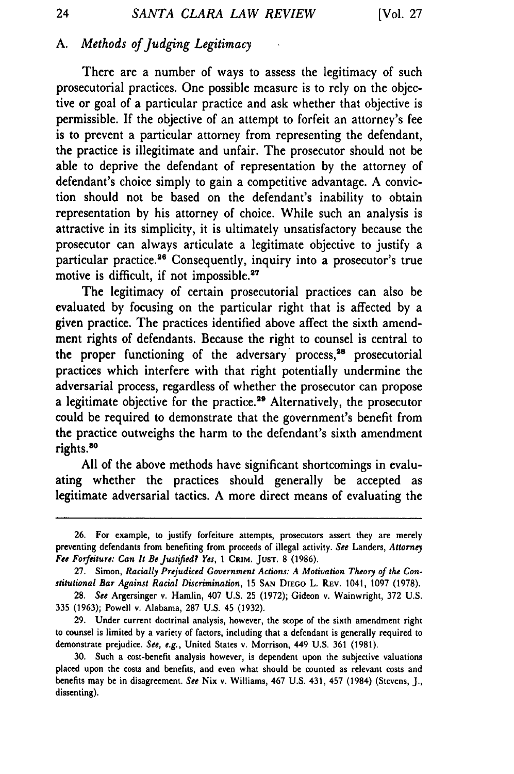## *A. Methods of Judging Legitimacy*

There are a number of ways to assess the legitimacy of such prosecutorial practices. One possible measure is to rely on the objective or goal of a particular practice and ask whether that objective is permissible. If the objective of an attempt to forfeit an attorney's fee is to prevent a particular attorney from representing the defendant, the practice is illegitimate and unfair. The prosecutor should not be able to deprive the defendant of representation by the attorney of defendant's choice simply to gain a competitive advantage. A conviction should not be based on the defendant's inability to obtain representation by his attorney of choice. While such an analysis is attractive in its simplicity, it is ultimately unsatisfactory because the prosecutor can always articulate a legitimate objective to justify a particular practice.<sup>26</sup> Consequently, inquiry into a prosecutor's true motive is difficult, if not impossible.<sup>27</sup>

The legitimacy of certain prosecutorial practices can also be evaluated by focusing on the particular right that is affected by a given practice. The practices identified above affect the sixth amendment rights of defendants. Because the right to counsel is central to the proper functioning of the adversary process,<sup>28</sup> prosecutorial practices which interfere with that right potentially undermine the adversarial process, regardless of whether the prosecutor can propose a legitimate objective for the practice.<sup>29</sup> Alternatively, the prosecutor could be required to demonstrate that the government's benefit from the practice outweighs the harm to the defendant's sixth amendment rights.<sup>30</sup>

All of the above methods have significant shortcomings in evaluating whether the practices should generally be accepted as legitimate adversarial tactics. A more direct means of evaluating the

24

**<sup>26.</sup>** For example, to justify forfeiture attempts, prosecutors assert they are merely preventing defendants from benefiting from proceeds of illegal activity. *See* Landers, *Attorney Fee Forfeiture: Can It BeJustified? Yes,* **1 CRIM. JUST.** 8 (1986).

<sup>27.</sup> Simon, *Racially Prejudiced Government Actions: A Motivation Theory of the Constitutional Bar Against Racial Discrimination,* 15 **SAN DIEGO** L. REV. 1041, 1097 (1978).

<sup>28.</sup> *See* Argersinger v. Hamlin, 407 U.S. 25 (1972); Gideon v. Wainwright, 372 U.S. **335** (1963); Powell **v.** Alabama, 287 U.S. 45 (1932).

<sup>29.</sup> Under current doctrinal analysis, however, the scope of the sixth amendment right to counsel is limited by a variety of factors, including that a defendant is generally required to demonstrate prejudice. *See, e.g.,* United States v. Morrison, 449 U.S. 361 (1981).

<sup>30.</sup> Such a cost-benefit analysis however, is dependent upon the subjective valuations placed upon the costs and benefits, and even what should be counted as relevant costs and benefits may **be** in disagreement. *See* Nix v. Williams, 467 U.S. 431, 457 (1984) (Stevens, J., dissenting).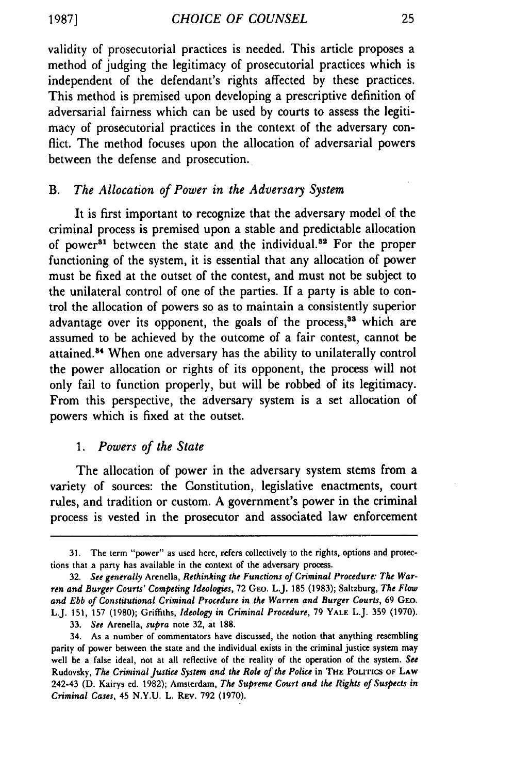**19871**

validity of prosecutorial practices is needed. This article proposes a method of judging the legitimacy of prosecutorial practices which is independent of the defendant's rights affected by these practices. This method is premised upon developing a prescriptive definition of adversarial fairness which can be used by courts to assess the legitimacy of prosecutorial practices in the context of the adversary conflict. The method focuses upon the allocation of adversarial powers between the defense and prosecution.

### *B. The Allocation of Power in the Adversary System*

It is first important to recognize that the adversary model of the criminal process is premised upon a stable and predictable allocation of power<sup>81</sup> between the state and the individual.<sup>82</sup> For the proper functioning of the system, it is essential that any allocation of power must be fixed at the outset of the contest, and must not be subject to the unilateral control of one of the parties. If a party is able to control the allocation of powers so as to maintain a consistently superior advantage over its opponent, the goals of the process,<sup>33</sup> which are assumed to be achieved by the outcome of a fair contest, cannot be attained.84 When one adversary has the ability to unilaterally control the power allocation or rights of its opponent, the process will not only fail to function properly, but will be robbed of its legitimacy. From this perspective, the adversary system is a set allocation of powers which is fixed at the outset.

## *1. Powers of the State*

The allocation of power in the adversary system stems from a variety of sources: the Constitution, legislative enactments, court rules, and tradition or custom. A government's power in the criminal process is vested in the prosecutor and associated law enforcement

**<sup>31.</sup>** The term "power" as used here, refers collectively to the rights, options and protections that a party has available in the context of the adversary process.

**<sup>32.</sup>** *See generally* Arenella, *Rethinking the Functions of Criminal Procedure: The Warren and Burger Courts' Competing Ideologies,* 72 GEO. L.J. **185** (1983); Saltzburg, *The Flow and Ebb of Constitutional Criminal Procedure in the Warren and Burger Courts,* 69 GEO. L.J. 151, 157 (1980); Griffiths, *Ideology in Criminal Procedure,* 79 YALE L.J. 359 (1970). **33.** *See* Arenella, *supra* note 32, at 188.

<sup>34.</sup> As a number of commentators have discussed, the notion that anything resembling parity of power between the state and the individual exists in the criminal justice system may well be a false ideal, not at all reflective of the reality of the operation of the system. *See* Rudovsky, *The Criminal Justice System and the Role of the Police* in THE POLITICS OF LAW 242-43 **(D.** Kairys ed. 1982); Amsterdam, *The Supreme Court and the Rights of Suspects in Criminal Cases,* 45 N.Y.U. L. REV. 792 (1970).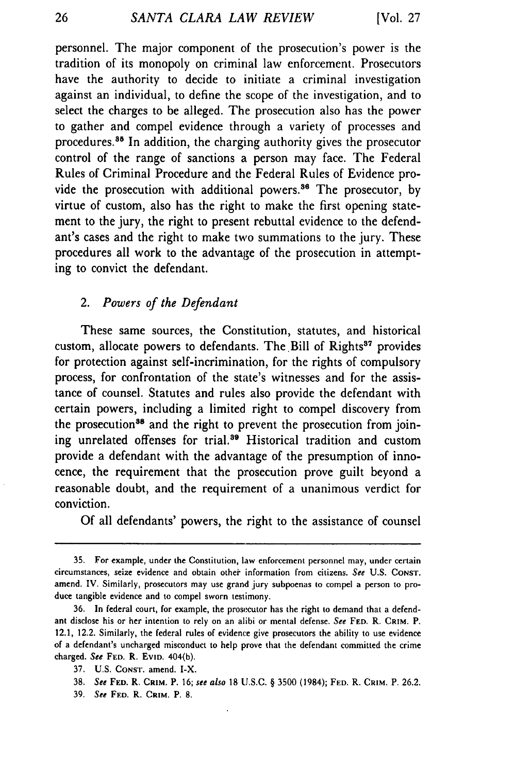personnel. The major component of the prosecution's power is the tradition of its monopoly on criminal law enforcement. Prosecutors have the authority to decide to initiate a criminal investigation against an individual, to define the scope of the investigation, and to select the charges to be alleged. The prosecution also has the power to gather and compel evidence through a variety of processes and procedures.<sup>35</sup> In addition, the charging authority gives the prosecutor control of the range of sanctions a person may face. The Federal Rules of Criminal Procedure and the Federal Rules of Evidence provide the prosecution with additional powers.<sup>36</sup> The prosecutor, by virtue of custom, also has the right to make the first opening statement to the jury, the right to present rebuttal evidence to the defendant's cases and the right to make two summations to the jury. These procedures all work to the advantage of the prosecution in attempting to convict the defendant.

## *2. Powers of the Defendant*

These same sources, the Constitution, statutes, and historical custom, allocate powers to defendants. The Bill of Rights<sup>37</sup> provides for protection against self-incrimination, for the rights of compulsory process, for confrontation of the state's witnesses and for the assistance of counsel. Statutes and rules also provide the defendant with certain powers, including a limited right to compel discovery from the prosecution<sup>38</sup> and the right to prevent the prosecution from joining unrelated offenses for trial.<sup>39</sup> Historical tradition and custom provide a defendant with the advantage of the presumption of innocence, the requirement that the prosecution prove guilt beyond a reasonable doubt, and the requirement of a unanimous verdict for conviction.

Of all defendants' powers, the right to the assistance of counsel

**<sup>35.</sup>** For example, under the Constitution, law enforcement personnel may, under certain circumstances, seize evidence and obtain other information from citizens. *See* **U.S. CONST.** amend. IV. Similarly, **prosecutors** may use grand jury subpoenas **to** compel a person to produce tangible evidence and to compel sworn testimony.

**<sup>36.</sup>** In federal court, for example, the prosecutor has the right to demand that a defendant disclose his or her intention to rely on an alibi or mental defense. *See* **FED.** R. **CRIM.** P. 12.1, 12.2. Similarly, the federal rules of evidence give prosecutors the ability to use evidence of a defendant's uncharged misconduct to help prove that the defendant committed the crime charged. *See* FED. R. EvID. 404(b).

**<sup>37.</sup> U.S. CONST.** amend. I-X.

**<sup>38.</sup>** *See* **FED.** R. **CRIM.** P. **16;** *see also* **18 U.S.C.** § **3500** (1984); **FED.** R. **CRIM.** P. **26.2.**

**<sup>39.</sup>** See **FED.** R. **CRIM.** P. **8.**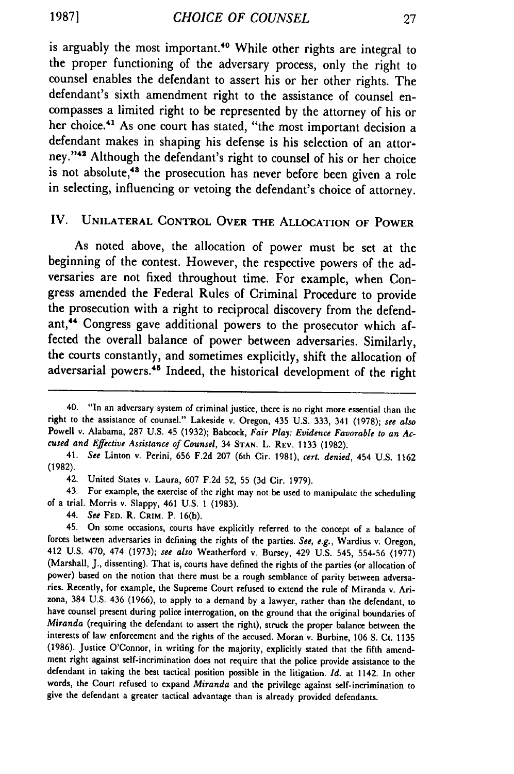is arguably the most important.<sup>40</sup> While other rights are integral to the proper functioning of the adversary process, only the right to counsel enables the defendant to assert his or her other rights. The defendant's sixth amendment right to the assistance of counsel encompasses a limited right to be represented **by** the attorney of his or her choice.<sup>41</sup> As one court has stated, "the most important decision a defendant makes in shaping his defense is his selection of an attorney."<sup>42</sup> Although the defendant's right to counsel of his or her choice is not absolute,<sup>43</sup> the prosecution has never before been given a role in selecting, influencing or vetoing the defendant's choice of attorney.

### IV. **UNILATERAL** CONTROL **OVER THE** ALLOCATION OF **POWER**

As noted above, the allocation of power must be set at the beginning of the contest. However, the respective powers of the adversaries are not fixed throughout time. For example, when Congress amended the Federal Rules of Criminal Procedure to provide the prosecution with a right to reciprocal discovery from the defendant,<sup>44</sup> Congress gave additional powers to the prosecutor which affected the overall balance of power between adversaries. Similarly, the courts constantly, and sometimes explicitly, shift the allocation of adversarial powers.<sup>45</sup> Indeed, the historical development of the right

43. For example, the exercise of the right may not be used to manipulate the scheduling of a trial. Morris v. Slappy, 461 **U.S. 1 (1983).**

44. *See* **FED.** R. CRIM. P. 16(b).

<sup>40. &</sup>quot;In an adversary system of criminal justice, there is no right more essential than the right to the assistance of counsel." Lakeside v. Oregon, 435 U.S. **333,** 341 **(1978);** *see also* Powell v. Alabama, **287 U.S.** 45 **(1932);** Babcock, *Fair Play: Evidence Favorable to an Accused and Effective Assistance of Counsel,* 34 **STAN.** L. **REV. 1133 (1982).**

<sup>41.</sup> *See* Linton v. Perini, **656 F.2d 207** (6th Cir. **1981),** *cert. denied,* 454 **U.S. <sup>1162</sup> (1982).**

<sup>42.</sup> United States v. Laura, **607 F.2d 52,** 55 **(3d** Cir. **1979).**

<sup>45.</sup> On some occasions, courts have explicitly referred to the concept of a balance of forces between adversaries in defining the rights of the parties. *See, e.g.,* Wardius v. Oregon, 412 **U.S.** 470, 474 **(1973);** *see also* Weatherford v. Bursey, 429 **U.S.** 545, 554-56 **(1977)** (Marshall, **J.,** dissenting). That is, courts have defined the rights of the parties **(or** allocation of power) based on the notion that there must be a rough semblance of parity between adversaries. Recently, for example, the Supreme Court refused to extend the rule of Miranda v. Arizona, 384 U.S. 436 (1966), to apply to a demand by a lawyer, rather than the defendant, to have counsel present during police interrogation, on the ground that the original boundaries of *Miranda* (requiring the defendant to assert the right), struck the proper balance between the interests of law enforcement and the rights of the accused. Moran v. Burbine, 106 **S.** Ct. 1135 (1986). Justice O'Connor, in writing for the majority, explicitly stated that the fifth amendment right against self-incrimination does not require that the police provide assistance to the defendant in taking the best tactical position possible in the litigation. *Id.* at 1142. In other words, the Court refused to expand *Miranda* and the privilege against self-incrimination to give the defendant a greater tactical advantage than is already provided defendants.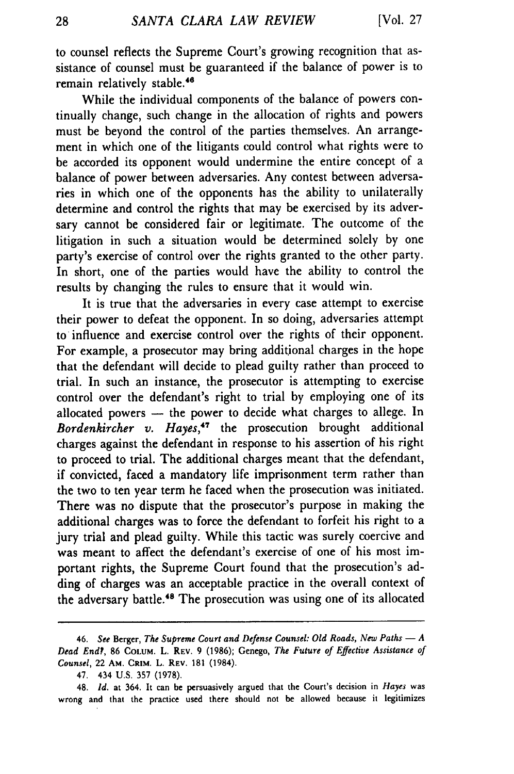to counsel reflects the Supreme Court's growing recognition that assistance of counsel must be guaranteed if the balance of power is to remain relatively stable.<sup>46</sup>

While the individual components of the balance of powers continually change, such change in the allocation of rights and powers must be beyond the control of the parties themselves. An arrangement in which one of the litigants could control what rights were to be accorded its opponent would undermine the entire concept of a balance of power between adversaries. Any contest between adversaries in which one of the opponents has the ability to unilaterally determine and control the rights that may be exercised by its adversary cannot be considered fair or legitimate. The outcome of the litigation in such a situation would be determined solely by one party's exercise of control over the rights granted to the other party. In short, one of the parties would have the ability to control the results by changing the rules to ensure that it would win.

It is true that the adversaries in every case attempt to exercise their power to defeat the opponent. In so doing, adversaries attempt to influence and exercise control over the rights of their opponent. For example, a prosecutor may bring additional charges in the hope that the defendant will decide to plead guilty rather than proceed to trial. In such an instance, the prosecutor is attempting to exercise control over the defendant's right to trial by employing one of its allocated powers - the power to decide what charges to allege. In *Bordenkircher v. Hayes,'7* the prosecution brought additional charges against the defendant in response to his assertion of his right to proceed to trial. The additional charges meant that the defendant, if convicted, faced a mandatory life imprisonment term rather than the two to ten year term he faced when the prosecution was initiated. There was no dispute that the prosecutor's purpose in making the additional charges was to force the defendant to forfeit his right to a jury trial and plead guilty. While this tactic was surely coercive and was meant to affect the defendant's exercise of one of his most important rights, the Supreme Court found that the prosecution's adding of charges was an acceptable practice in the overall context of the adversary battle.<sup>48</sup> The prosecution was using one of its allocated

<sup>46.</sup> See Berger, The Supreme Court and Defense Counsel: Old Roads, New Paths - A *Dead End?,* **86 COLUM.** L. REV. 9 (1986); Genego, *The Future of Effective Assistance of Counsel,* 22 AM. **CRIM.** L. REV. 181 (1984).

<sup>47. 434</sup> U.S. 357 (1978).

<sup>48.</sup> *Id.* at 364. It can be persuasively argued that the Court's decision in *Hayes* was wrong and that the practice used there should not be allowed because it legitimizes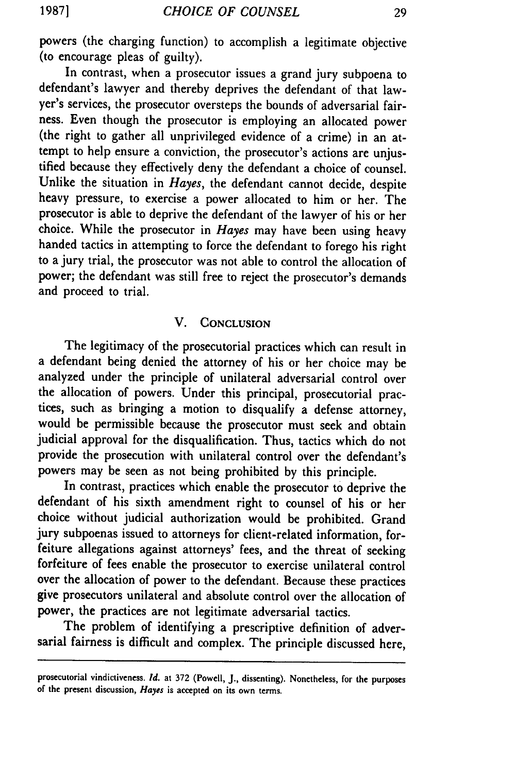powers (the charging function) to accomplish a legitimate objective (to encourage pleas of guilty).

In contrast, when a prosecutor issues a grand jury subpoena to defendant's lawyer and thereby deprives the defendant of that lawyer's services, the prosecutor oversteps the bounds of adversarial fairness. Even though the prosecutor is employing an allocated power (the right to gather all unprivileged evidence of a crime) in an attempt to help ensure a conviction, the prosecutor's actions are unjustified because they effectively deny the defendant a choice of counsel. Unlike the situation in *Hayes,* the defendant cannot decide, despite heavy pressure, to exercise a power allocated to him or her. The prosecutor is able to deprive the defendant of the lawyer of his or her choice. While the prosecutor in *Hayes* may have been using heavy handed tactics in attempting to force the defendant to forego his right to a jury trial, the prosecutor was not able to control the allocation of power; the defendant was still free to reject the prosecutor's demands and proceed to trial.

### V. **CONCLUSION**

The legitimacy of the prosecutorial practices which can result in a defendant being denied the attorney of his or her choice may be analyzed under the principle of unilateral adversarial control over the allocation of powers. Under this principal, prosecutorial practices, such as bringing a motion to disqualify a defense attorney, would be permissible because the prosecutor must seek and obtain judicial approval for the disqualification. Thus, tactics which do not provide the prosecution with unilateral control over the defendant's powers may be seen as not being prohibited by this principle.

In contrast, practices which enable the prosecutor to deprive the defendant of his sixth amendment right to counsel of his or her choice without judicial authorization would be prohibited. Grand jury subpoenas issued to attorneys for client-related information, forfeiture allegations against attorneys' fees, and the threat of seeking forfeiture of fees enable the prosecutor to exercise unilateral control over the allocation of power to the defendant. Because these practices give prosecutors unilateral and absolute control over the allocation of power, the practices are not legitimate adversarial tactics.

The problem of identifying a prescriptive definition of adversarial fairness is difficult and complex. The principle discussed here,

prosecutorial vindictiveness. *Id.* at **372** (Powell, J., dissenting). Nonetheless, for the purposes of the present discussion, *Hayes* is accepted on its own terms.